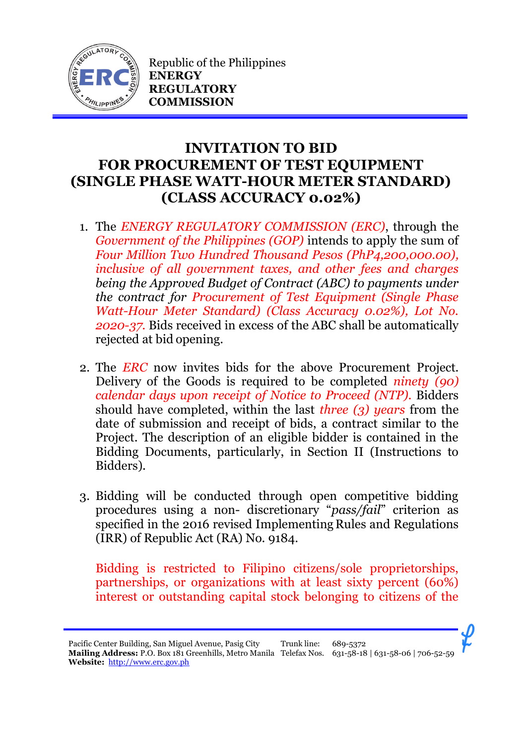

Republic of the Philippines **ENERGY REGULATORY COMMISSION**

## **INVITATION TO BID FOR PROCUREMENT OF TEST EQUIPMENT (SINGLE PHASE WATT-HOUR METER STANDARD) (CLASS ACCURACY 0.02%)**

- 1. The *ENERGY REGULATORY COMMISSION (ERC)*, through the *Government of the Philippines (GOP)* intends to apply the sum of *Four Million Two Hundred Thousand Pesos (PhP4,200,000.00), inclusive of all government taxes, and other fees and charges being the Approved Budget of Contract (ABC) to payments under the contract for Procurement of Test Equipment (Single Phase Watt-Hour Meter Standard) (Class Accuracy 0.02%), Lot No. 2020-37.* Bids received in excess of the ABC shall be automatically rejected at bid opening.
- 2. The *ERC* now invites bids for the above Procurement Project. Delivery of the Goods is required to be completed *ninety (90) calendar days upon receipt of Notice to Proceed (NTP).* Bidders should have completed, within the last *three (3) years* from the date of submission and receipt of bids, a contract similar to the Project. The description of an eligible bidder is contained in the Bidding Documents, particularly, in Section II (Instructions to Bidders).
- 3. Bidding will be conducted through open competitive bidding procedures using a non- discretionary "*pass/fail*" criterion as specified in the 2016 revised Implementing Rules and Regulations (IRR) of Republic Act (RA) No. 9184.

Bidding is restricted to Filipino citizens/sole proprietorships, partnerships, or organizations with at least sixty percent (60%) interest or outstanding capital stock belonging to citizens of the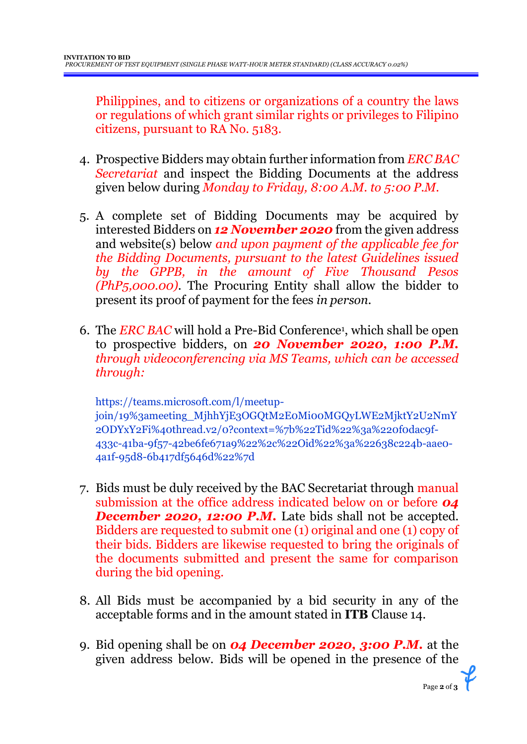Philippines, and to citizens or organizations of a country the laws or regulations of which grant similar rights or privileges to Filipino citizens, pursuant to RA No. 5183.

- 4. Prospective Bidders may obtain further information from *ERC BAC Secretariat* and inspect the Bidding Documents at the address given below during *Monday to Friday, 8:00 A.M. to 5:00 P.M*.
- 5. A complete set of Bidding Documents may be acquired by interested Bidders on *12 November 2020* from the given address and website(s) below *and upon payment of the applicable fee for the Bidding Documents, pursuant to the latest Guidelines issued by the GPPB, in the amount of Five Thousand Pesos (PhP5,000.00)*. The Procuring Entity shall allow the bidder to present its proof of payment for the fees *in person.*
- 6. The *ERC BAC* will hold a Pre-Bid Conference<sup>1</sup> , which shall be open to prospective bidders, on *20 November 2020, 1:00 P.M. through videoconferencing via MS Teams, which can be accessed through:*

https://teams.microsoft.com/l/meetupjoin/19%3ameeting\_MjhhYjE3OGQtM2E0Mi00MGQyLWE2MjktY2U2NmY 2ODYxY2Fi%40thread.v2/0?context=%7b%22Tid%22%3a%220f0dac9f-433c-41ba-9f57-42be6fe671a9%22%2c%22Oid%22%3a%22638c224b-aae0- 4a1f-95d8-6b417df5646d%22%7d

- 7. Bids must be duly received by the BAC Secretariat through manual submission at the office address indicated below on or before *04*  **December 2020, 12:00 P.M.** Late bids shall not be accepted. Bidders are requested to submit one (1) original and one (1) copy of their bids. Bidders are likewise requested to bring the originals of the documents submitted and present the same for comparison during the bid opening.
- 8. All Bids must be accompanied by a bid security in any of the acceptable forms and in the amount stated in **ITB** Clause 14.
- 9. Bid opening shall be on *04 December 2020, 3:00 P.M.* at the given address below. Bids will be opened in the presence of the